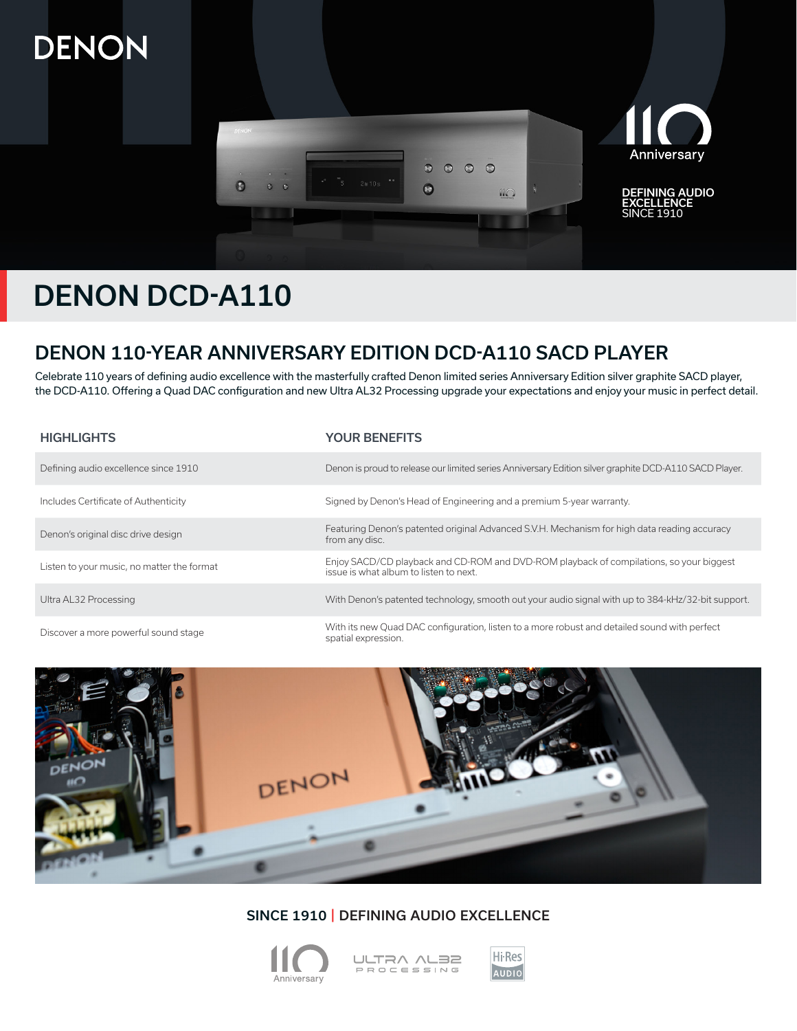# DENON



# DENON DCD-A110

# DENON 110-YEAR ANNIVERSARY EDITION DCD-A110 SACD PLAYER

Celebrate 110 years of defining audio excellence with the masterfully crafted Denon limited series Anniversary Edition silver graphite SACD player, the DCD-A110. Offering a Quad DAC configuration and new Ultra AL32 Processing upgrade your expectations and enjoy your music in perfect detail.

| <b>HIGHLIGHTS</b>                          | <b>YOUR BENEFITS</b>                                                                                                              |
|--------------------------------------------|-----------------------------------------------------------------------------------------------------------------------------------|
| Defining audio excellence since 1910       | Denon is proud to release our limited series Anniversary Edition silver graphite DCD-A110 SACD Player.                            |
| Includes Certificate of Authenticity       | Signed by Denon's Head of Engineering and a premium 5-year warranty.                                                              |
| Denon's original disc drive design         | Featuring Denon's patented original Advanced S.V.H. Mechanism for high data reading accuracy<br>from any disc.                    |
| Listen to your music, no matter the format | Enjoy SACD/CD playback and CD-ROM and DVD-ROM playback of compilations, so your biggest<br>issue is what album to listen to next. |
| Ultra AL32 Processing                      | With Denon's patented technology, smooth out your audio signal with up to 384-kHz/32-bit support.                                 |
| Discover a more powerful sound stage       | With its new Quad DAC configuration, listen to a more robust and detailed sound with perfect<br>spatial expression.               |



# SINCE 1910 | DEFINING AUDIO EXCELLENCE